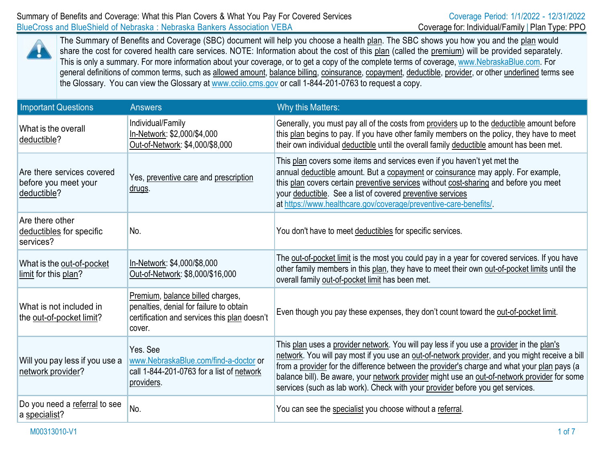

The Summary of Benefits and Coverage (SBC) document will help you choose a health plan. The SBC shows you how you and the plan would share the cost for covered health care services. NOTE: Information about the cost of this plan (called the premium) will be provided separately. This is only a summary. For more information about your coverage, or to get a copy of the complete terms of coverage, [www.NebraskaBlue.com.](http://www.nebraskablue.com/) For general definitions of common terms, such as allowed amount, balance billing, coinsurance, copayment, deductible, provider, or other underlined terms see the Glossary. You can view the Glossary at [www.cciio.cms.gov](http://www.cciio.cms.gov/) or call 1-844-201-0763 to request a copy.

| <b>Important Questions</b>                                        | <b>Answers</b>                                                                                                                        | Why this Matters:                                                                                                                                                                                                                                                                                                                                                                                                                                                           |
|-------------------------------------------------------------------|---------------------------------------------------------------------------------------------------------------------------------------|-----------------------------------------------------------------------------------------------------------------------------------------------------------------------------------------------------------------------------------------------------------------------------------------------------------------------------------------------------------------------------------------------------------------------------------------------------------------------------|
| What is the overall<br>deductible?                                | Individual/Family<br>In-Network: \$2,000/\$4,000<br>Out-of-Network: \$4,000/\$8,000                                                   | Generally, you must pay all of the costs from providers up to the deductible amount before<br>this plan begins to pay. If you have other family members on the policy, they have to meet<br>their own individual deductible until the overall family deductible amount has been met.                                                                                                                                                                                        |
| Are there services covered<br>before you meet your<br>deductible? | Yes, preventive care and prescription<br>drugs.                                                                                       | This plan covers some items and services even if you haven't yet met the<br>annual deductible amount. But a copayment or coinsurance may apply. For example,<br>this plan covers certain preventive services without cost-sharing and before you meet<br>your deductible. See a list of covered preventive services<br>at https://www.healthcare.gov/coverage/preventive-care-benefits/                                                                                     |
| Are there other<br>deductibles for specific<br>services?          | No.                                                                                                                                   | You don't have to meet deductibles for specific services.                                                                                                                                                                                                                                                                                                                                                                                                                   |
| What is the out-of-pocket<br>limit for this plan?                 | In-Network: \$4,000/\$8,000<br>Out-of-Network: \$8,000/\$16,000                                                                       | The out-of-pocket limit is the most you could pay in a year for covered services. If you have<br>other family members in this plan, they have to meet their own out-of-pocket limits until the<br>overall family out-of-pocket limit has been met.                                                                                                                                                                                                                          |
| What is not included in<br>the out-of-pocket limit?               | Premium, balance billed charges,<br>penalties, denial for failure to obtain<br>certification and services this plan doesn't<br>cover. | Even though you pay these expenses, they don't count toward the out-of-pocket limit.                                                                                                                                                                                                                                                                                                                                                                                        |
| Will you pay less if you use a<br>network provider?               | Yes, See<br>www.NebraskaBlue.com/find-a-doctor or<br>call 1-844-201-0763 for a list of network<br>providers.                          | This plan uses a provider network. You will pay less if you use a provider in the plan's<br>network. You will pay most if you use an out-of-network provider, and you might receive a bill<br>from a provider for the difference between the provider's charge and what your plan pays (a<br>balance bill). Be aware, your network provider might use an out-of-network provider for some<br>services (such as lab work). Check with your provider before you get services. |
| Do you need a referral to see<br>a specialist?                    | No.                                                                                                                                   | You can see the specialist you choose without a referral.                                                                                                                                                                                                                                                                                                                                                                                                                   |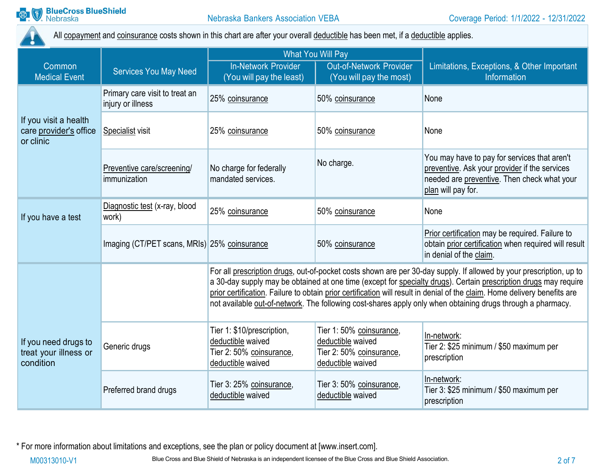

All copayment and coinsurance costs shown in this chart are after your overall deductible has been met, if a deductible applies.

|                                                              |                                                     | <b>What You Will Pay</b>                                                                                                                                                                                                                                                                                                                                                                                                                                                            |                                                                                                |                                                                                                                                                                    |  |
|--------------------------------------------------------------|-----------------------------------------------------|-------------------------------------------------------------------------------------------------------------------------------------------------------------------------------------------------------------------------------------------------------------------------------------------------------------------------------------------------------------------------------------------------------------------------------------------------------------------------------------|------------------------------------------------------------------------------------------------|--------------------------------------------------------------------------------------------------------------------------------------------------------------------|--|
| Common<br><b>Medical Event</b>                               | <b>Services You May Need</b>                        | <b>In-Network Provider</b><br>(You will pay the least)                                                                                                                                                                                                                                                                                                                                                                                                                              | Out-of-Network Provider<br>(You will pay the most)                                             | Limitations, Exceptions, & Other Important<br>Information                                                                                                          |  |
|                                                              | Primary care visit to treat an<br>injury or illness | 25% coinsurance                                                                                                                                                                                                                                                                                                                                                                                                                                                                     | 50% coinsurance                                                                                | None                                                                                                                                                               |  |
| If you visit a health<br>care provider's office<br>or clinic | Specialist visit                                    | 25% coinsurance                                                                                                                                                                                                                                                                                                                                                                                                                                                                     | 50% coinsurance                                                                                | None                                                                                                                                                               |  |
|                                                              | Preventive care/screening/<br>immunization          | No charge for federally<br>mandated services.                                                                                                                                                                                                                                                                                                                                                                                                                                       | No charge.                                                                                     | You may have to pay for services that aren't<br>preventive. Ask your provider if the services<br>needed are preventive. Then check what your<br>plan will pay for. |  |
| If you have a test                                           | Diagnostic test (x-ray, blood<br>work)              | 25% coinsurance                                                                                                                                                                                                                                                                                                                                                                                                                                                                     | 50% coinsurance                                                                                | None                                                                                                                                                               |  |
|                                                              | Imaging (CT/PET scans, MRIs) 25% coinsurance        |                                                                                                                                                                                                                                                                                                                                                                                                                                                                                     | 50% coinsurance                                                                                | Prior certification may be required. Failure to<br>obtain prior certification when required will result<br>in denial of the claim.                                 |  |
|                                                              |                                                     | For all prescription drugs, out-of-pocket costs shown are per 30-day supply. If allowed by your prescription, up to<br>a 30-day supply may be obtained at one time (except for specialty drugs). Certain prescription drugs may require<br>prior certification. Failure to obtain prior certification will result in denial of the claim. Home delivery benefits are<br>not available out-of-network. The following cost-shares apply only when obtaining drugs through a pharmacy. |                                                                                                |                                                                                                                                                                    |  |
| If you need drugs to<br>treat your illness or<br>condition   | Generic drugs                                       | Tier 1: \$10/prescription,<br>deductible waived<br>Tier 2: 50% coinsurance,<br>deductible waived                                                                                                                                                                                                                                                                                                                                                                                    | Tier 1: 50% coinsurance,<br>deductible waived<br>Tier 2: 50% coinsurance,<br>deductible waived | In-network:<br>Tier 2: \$25 minimum / \$50 maximum per<br>prescription                                                                                             |  |
|                                                              | Preferred brand drugs                               | Tier 3: 25% coinsurance,<br>deductible waived                                                                                                                                                                                                                                                                                                                                                                                                                                       | Tier 3: 50% coinsurance,<br>deductible waived                                                  | In-network:<br>Tier 3: \$25 minimum / \$50 maximum per<br>prescription                                                                                             |  |

\* For more information about limitations and exceptions, see the plan or policy document at [\[www.insert.com\]](http://www.insert.com/).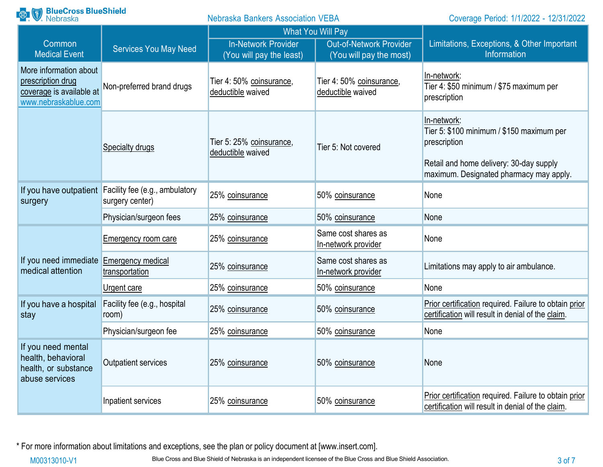| <b>Rose BlueCross BlueShield</b><br><b>Nebraska Bankers Association VEBA</b>                    |                                                                          | Coverage Period: 1/1/2022 - 12/31/2022                 |                                                    |                                                                                                                                                                |
|-------------------------------------------------------------------------------------------------|--------------------------------------------------------------------------|--------------------------------------------------------|----------------------------------------------------|----------------------------------------------------------------------------------------------------------------------------------------------------------------|
|                                                                                                 |                                                                          |                                                        | <b>What You Will Pay</b>                           |                                                                                                                                                                |
| Common<br><b>Medical Event</b>                                                                  | <b>Services You May Need</b>                                             | <b>In-Network Provider</b><br>(You will pay the least) | Out-of-Network Provider<br>(You will pay the most) | Limitations, Exceptions, & Other Important<br>Information                                                                                                      |
| More information about<br>prescription drug<br>coverage is available at<br>www.nebraskablue.com | Non-preferred brand drugs                                                | Tier 4: 50% coinsurance,<br>deductible waived          | Tier 4: 50% coinsurance,<br>deductible waived      | In-network:<br>Tier 4: \$50 minimum / \$75 maximum per<br>prescription                                                                                         |
|                                                                                                 | <b>Specialty drugs</b>                                                   | Tier 5: 25% coinsurance,<br>deductible waived          | Tier 5: Not covered                                | In-network:<br>Tier 5: \$100 minimum / \$150 maximum per<br>prescription<br>Retail and home delivery: 30-day supply<br>maximum. Designated pharmacy may apply. |
| surgery                                                                                         | If you have outpatient Facility fee (e.g., ambulatory<br>surgery center) | 25% coinsurance                                        | 50% coinsurance                                    | None                                                                                                                                                           |
|                                                                                                 | Physician/surgeon fees                                                   | 25% coinsurance                                        | 50% coinsurance                                    | None                                                                                                                                                           |
|                                                                                                 | <b>Emergency room care</b>                                               | 25% coinsurance                                        | Same cost shares as<br>In-network provider         | None                                                                                                                                                           |
| If you need immediate<br>medical attention                                                      | <b>Emergency medical</b><br>transportation                               | 25% coinsurance                                        | Same cost shares as<br>In-network provider         | Limitations may apply to air ambulance.                                                                                                                        |
|                                                                                                 | Urgent care                                                              | 25% coinsurance                                        | 50% coinsurance                                    | None                                                                                                                                                           |
| If you have a hospital<br>stay                                                                  | Facility fee (e.g., hospital<br>room)                                    | 25% coinsurance                                        | 50% coinsurance                                    | Prior certification required. Failure to obtain prior<br>certification will result in denial of the claim.                                                     |
|                                                                                                 | Physician/surgeon fee                                                    | 25% coinsurance                                        | 50% coinsurance                                    | None                                                                                                                                                           |
| If you need mental<br>health, behavioral<br>health, or substance<br>abuse services              | <b>Outpatient services</b>                                               | 25% coinsurance                                        | 50% coinsurance                                    | None                                                                                                                                                           |
|                                                                                                 | Inpatient services                                                       | 25% coinsurance                                        | 50% coinsurance                                    | Prior certification required. Failure to obtain prior<br>certification will result in denial of the claim.                                                     |

\* For more information about limitations and exceptions, see the plan or policy document at [\[www.insert.com\]](http://www.insert.com/).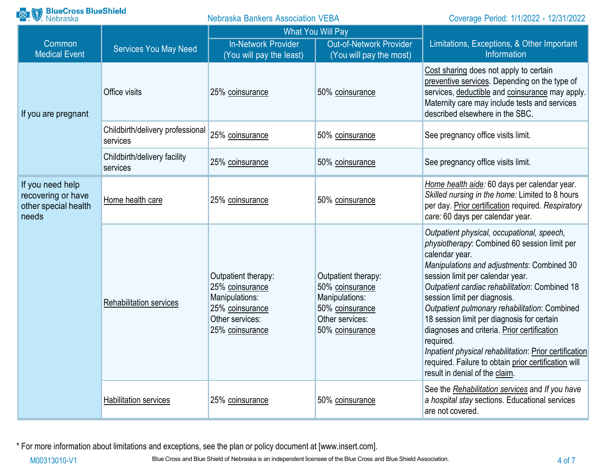| <b>BlueCross BlueShield</b><br>Nebraska                                 |                                              | <b>Nebraska Bankers Association VEBA</b>                                                                          |                                                                                                                   | Coverage Period: 1/1/2022 - 12/31/2022                                                                                                                                                                                                                                                                                                                                                                                                                                                                                                                                                          |
|-------------------------------------------------------------------------|----------------------------------------------|-------------------------------------------------------------------------------------------------------------------|-------------------------------------------------------------------------------------------------------------------|-------------------------------------------------------------------------------------------------------------------------------------------------------------------------------------------------------------------------------------------------------------------------------------------------------------------------------------------------------------------------------------------------------------------------------------------------------------------------------------------------------------------------------------------------------------------------------------------------|
|                                                                         |                                              |                                                                                                                   | <b>What You Will Pay</b>                                                                                          |                                                                                                                                                                                                                                                                                                                                                                                                                                                                                                                                                                                                 |
| Common<br><b>Medical Event</b>                                          | <b>Services You May Need</b>                 | <b>In-Network Provider</b><br>(You will pay the least)                                                            | <b>Out-of-Network Provider</b><br>(You will pay the most)                                                         | Limitations, Exceptions, & Other Important<br>Information                                                                                                                                                                                                                                                                                                                                                                                                                                                                                                                                       |
| If you are pregnant                                                     | Office visits                                | 25% coinsurance                                                                                                   | 50% coinsurance                                                                                                   | Cost sharing does not apply to certain<br>preventive services. Depending on the type of<br>services, deductible and coinsurance may apply.<br>Maternity care may include tests and services<br>described elsewhere in the SBC.                                                                                                                                                                                                                                                                                                                                                                  |
|                                                                         | Childbirth/delivery professional<br>services | 25% coinsurance                                                                                                   | 50% coinsurance                                                                                                   | See pregnancy office visits limit.                                                                                                                                                                                                                                                                                                                                                                                                                                                                                                                                                              |
|                                                                         | Childbirth/delivery facility<br>services     | 25% coinsurance                                                                                                   | 50% coinsurance                                                                                                   | See pregnancy office visits limit.                                                                                                                                                                                                                                                                                                                                                                                                                                                                                                                                                              |
| If you need help<br>recovering or have<br>other special health<br>needs | Home health care                             | 25% coinsurance                                                                                                   | 50% coinsurance                                                                                                   | Home health aide: 60 days per calendar year.<br>Skilled nursing in the home: Limited to 8 hours<br>per day. Prior certification required. Respiratory<br>care: 60 days per calendar year.                                                                                                                                                                                                                                                                                                                                                                                                       |
|                                                                         | <b>Rehabilitation services</b>               | Outpatient therapy:<br>25% coinsurance<br>Manipulations:<br>25% coinsurance<br>Other services:<br>25% coinsurance | Outpatient therapy:<br>50% coinsurance<br>Manipulations:<br>50% coinsurance<br>Other services:<br>50% coinsurance | Outpatient physical, occupational, speech,<br>physiotherapy: Combined 60 session limit per<br>calendar year.<br>Manipulations and adjustments: Combined 30<br>session limit per calendar year.<br>Outpatient cardiac rehabilitation: Combined 18<br>session limit per diagnosis.<br>Outpatient pulmonary rehabilitation: Combined<br>18 session limit per diagnosis for certain<br>diagnoses and criteria. Prior certification<br>required.<br>Inpatient physical rehabilitation: Prior certification<br>required. Failure to obtain prior certification will<br>result in denial of the claim. |
|                                                                         | <b>Habilitation services</b>                 | 25% coinsurance                                                                                                   | 50% coinsurance                                                                                                   | See the Rehabilitation services and If you have<br>a hospital stay sections. Educational services<br>are not covered.                                                                                                                                                                                                                                                                                                                                                                                                                                                                           |

\* For more information about limitations and exceptions, see the plan or policy document at [\[www.insert.com\]](http://www.insert.com/).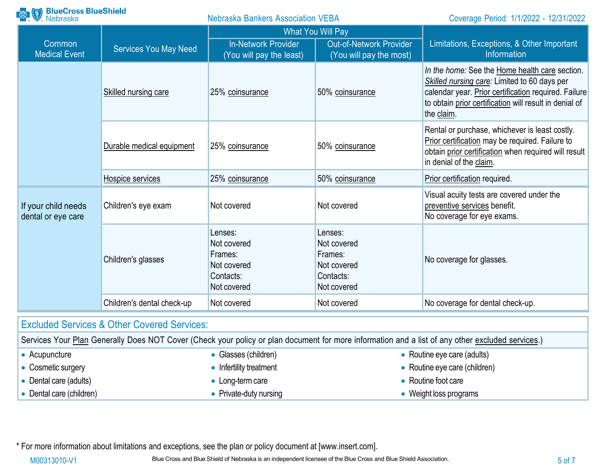| <b>BlueCross BlueShield</b><br>Nebraska   |                                                        | <b>Nebraska Bankers Association VEBA</b>                                     |                                                                              | Coverage Period: 1/1/2022 - 12/31/2022                                                                                                                                                                                         |
|-------------------------------------------|--------------------------------------------------------|------------------------------------------------------------------------------|------------------------------------------------------------------------------|--------------------------------------------------------------------------------------------------------------------------------------------------------------------------------------------------------------------------------|
|                                           |                                                        | <b>What You Will Pay</b>                                                     |                                                                              |                                                                                                                                                                                                                                |
| Common<br><b>Medical Event</b>            | <b>Services You May Need</b>                           | <b>In-Network Provider</b><br>(You will pay the least)                       | <b>Out-of-Network Provider</b><br>(You will pay the most)                    | Limitations, Exceptions, & Other Important<br>Information                                                                                                                                                                      |
|                                           | Skilled nursing care                                   | 25% coinsurance                                                              | 50% coinsurance                                                              | In the home: See the Home health care section.<br>Skilled nursing care: Limited to 60 days per<br>calendar year. Prior certification required. Failure<br>to obtain prior certification will result in denial of<br>the claim. |
|                                           | Durable medical equipment                              | 25% coinsurance                                                              | 50% coinsurance                                                              | Rental or purchase, whichever is least costly.<br>Prior certification may be required. Failure to<br>obtain prior certification when required will result<br>in denial of the claim.                                           |
|                                           | Hospice services                                       | 25% coinsurance                                                              | 50% coinsurance                                                              | Prior certification required.                                                                                                                                                                                                  |
| If your child needs<br>dental or eye care | Children's eye exam                                    | Not covered                                                                  | Not covered                                                                  | Visual acuity tests are covered under the<br>preventive services benefit.<br>No coverage for eye exams.                                                                                                                        |
|                                           | Children's glasses                                     | Lenses:<br>Not covered<br>Frames:<br>Not covered<br>Contacts:<br>Not covered | Lenses:<br>Not covered<br>Frames:<br>Not covered<br>Contacts:<br>Not covered | No coverage for glasses.                                                                                                                                                                                                       |
|                                           | Children's dental check-up                             | Not covered                                                                  | Not covered                                                                  | No coverage for dental check-up.                                                                                                                                                                                               |
|                                           | <b>Excluded Services &amp; Other Covered Services:</b> |                                                                              |                                                                              |                                                                                                                                                                                                                                |
|                                           |                                                        |                                                                              |                                                                              | Carvices Your Plan Generally Does NOT Cover (Check your policy or plan document for more information and a list of any other excluded services)                                                                                |

|                        |                          | OCIVICIO IN TRILOGICIO IN COVERTING AND INTERNATION CONTROL DI SIDERITI OF THOLOGICAL INTERNATION IN A 1150 OF ANY ON THE EXCIDENCES. |
|------------------------|--------------------------|---------------------------------------------------------------------------------------------------------------------------------------|
| Acupuncture            | • Glasses (children)     | • Routine eye care (adults)                                                                                                           |
| Cosmetic surgery       | • Infertility treatment  | • Routine eye care (children)                                                                                                         |
| Dental care (adults)   | $\bullet$ Long-term care | Routine foot care                                                                                                                     |
| Dental care (children) | • Private-duty nursing   | Weight loss programs                                                                                                                  |

\* For more information about limitations and exceptions, see the plan or policy document at [\[www.insert.com\]](http://www.insert.com/).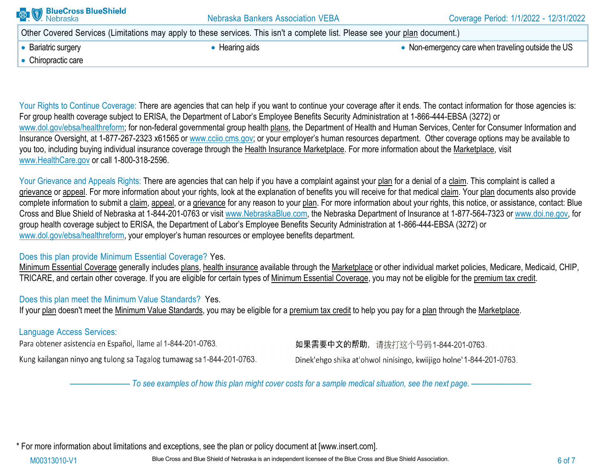| <b>BlueCross BlueShield</b><br>Nebraska | <b>Nebraska Bankers Association VEBA</b>                                                                                     | Coverage Period: 1/1/2022 - 12/31/2022             |
|-----------------------------------------|------------------------------------------------------------------------------------------------------------------------------|----------------------------------------------------|
|                                         | Other Covered Services (Limitations may apply to these services. This isn't a complete list. Please see your plan document.) |                                                    |
| • Bariatric surgery                     | • Hearing aids                                                                                                               | • Non-emergency care when traveling outside the US |
| • Chiropractic care                     |                                                                                                                              |                                                    |
|                                         |                                                                                                                              |                                                    |

Your Rights to Continue Coverage: There are agencies that can help if you want to continue your coverage after it ends. The contact information for those agencies is: For group health coverage subject to ERISA, the Department of Labor's Employee Benefits Security Administration at 1-866-444-EBSA (3272) or [www.dol.gov/ebsa/healthreform; f](http://www.dol.gov/ebsa/healthreform%3B)or non-federal governmental group health plans, the Department of Health and Human Services, Center for Consumer Information and Insurance Oversight, at 1-877-267-2323 x61565 or www.cciio.cms.gov; or your employer's human resources department. Other coverage options may be available to you too, including buying individual insurance coverage through the Health Insurance Marketplace. For more information about the Marketplace, visit [www.HealthCare.gov](http://www.healthcare.gov/) or call 1-800-318-2596.

Your Grievance and Appeals Rights: There are agencies that can help if you have a complaint against your plan for a denial of a claim. This complaint is called a grievance or appeal. For more information about your rights, look at the explanation of benefits you will receive for that medical claim. Your plan documents also provide complete information to submit a claim, appeal, or a grievance for any reason to your plan. For more information about your rights, this notice, or assistance, contact: Blue Cross and Blue Shield of Nebraska at 1-844-201-0763 or visit [www.NebraskaBlue.com, t](http://www.nebraskablue.com/)he Nebraska Department of Insurance at 1-877-564-7323 or [www.doi.ne.gov, f](http://www.doi.ne.gov/)or group health coverage subject to ERISA, the Department of Labor's Employee Benefits Security Administration at 1-866-444-EBSA (3272) or [www.dol.gov/ebsa/healthreform,](http://www.dol.gov/ebsa/healthreform) your employer's human resources or employee benefits department.

#### Does this plan provide Minimum Essential Coverage? Yes.

Minimum Essential Coverage generally includes plans, health insurance available through the Marketplace or other individual market policies, Medicare, Medicaid, CHIP, TRICARE, and certain other coverage. If you are eligible for certain types of Minimum Essential Coverage, you may not be eligible for the premium tax credit.

## Does this plan meet the Minimum Value Standards? Yes.

If your plan doesn't meet the Minimum Value Standards, you may be eligible for a premium tax credit to help you pay for a plan through the Marketplace.

## Language Access Services:

Para obtener asistencia en Español, llame al 1-844-201-0763.

Kung kailangan ninyo ang tulong sa Tagalog tumawag sa 1-844-201-0763.

如果需要中文的帮助, 请拨打这个号码1-844-201-0763.

Dinek'ehgo shika at'ohwol ninisingo, kwiijigo holne' 1-844-201-0763.

- To see examples of how this plan might cover costs for a sample medical situation, see the next page. -----

\* For more information about limitations and exceptions, see the plan or policy document at [\[www.insert.com\]](http://www.insert.com/).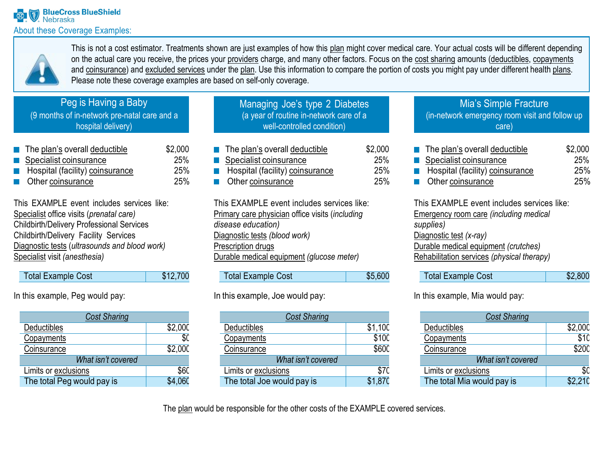

This is not a cost estimator. Treatments shown are just examples of how this plan might cover medical care. Your actual costs will be different depending on the actual care you receive, the prices your providers charge, and many other factors. Focus on the cost sharing amounts (deductibles, copayments and coinsurance) and excluded services under the plan. Use this information to compare the portion of costs you might pay under different health plans. Please note these coverage examples are based on self-only coverage.

# Peg is Having a Baby

(9 months of in-network pre-natal care and a hospital delivery)

| $\blacksquare$ The plan's overall deductible | \$2,000    |
|----------------------------------------------|------------|
| Specialist coinsurance                       | <b>25%</b> |
| <b>Hospital (facility) coinsurance</b>       | 25%        |
| $\blacksquare$ Other coinsurance             | 25%        |

This EXAMPLE event includes services like: Specialist office visits (*prenatal care)* Childbirth/Delivery Professional Services Childbirth/Delivery Facility Services Diagnostic tests (*ultrasounds and blood work)* Specialist visit *(anesthesia)*

| Total Example Cost | \$12,700 |
|--------------------|----------|
|--------------------|----------|

In this example, Peg would pay:

| <b>Cost Sharing</b>        |             |  |
|----------------------------|-------------|--|
| Deductibles                | \$2,000     |  |
| Copayments                 | \$0         |  |
| Coinsurance                | \$2,000     |  |
| What isn't covered         |             |  |
| Limits or exclusions       | <b>\$60</b> |  |
| The total Peg would pay is | 060         |  |

| Managing Joe's type 2 Diabetes          |  |  |
|-----------------------------------------|--|--|
| (a year of routine in-network care of a |  |  |
| well-controlled condition)              |  |  |
|                                         |  |  |

| $\blacksquare$ The plan's overall deductible | \$2,000 |
|----------------------------------------------|---------|
| Specialist coinsurance                       | 25%     |
| Hospital (facility) coinsurance              | 25%     |
| $\blacksquare$ Other coinsurance             | 25%     |

This EXAMPLE event includes services like: Primary care physician office visits (*including disease education)* Diagnostic tests *(blood work)* Prescription drugs Durable medical equipment *(glucose meter)*

| <b>Total Example Cost</b> | \$5,600 |
|---------------------------|---------|

## In this example, Joe would pay:

| <b>Cost Sharing</b>        |         |  |
|----------------------------|---------|--|
| Deductibles                | \$1,100 |  |
| Copayments                 | \$100   |  |
| Coinsurance                | \$600   |  |
| What isn't covered         |         |  |
| Limits or exclusions       | \$70    |  |
| The total Joe would pay is | \$1,870 |  |

### Mia's Simple Fracture (in-network emergency room visit and follow up care)

| $\blacksquare$ The plan's overall deductible | \$2,000    |
|----------------------------------------------|------------|
| Specialist coinsurance                       | 25%        |
| Hospital (facility) coinsurance              | <b>25%</b> |
| <b>C</b> Other coinsurance                   | <b>25%</b> |

This EXAMPLE event includes services like: Emergency room care *(including medical supplies)* Diagnostic test *(x-ray)* Durable medical equipment *(crutches)* Rehabilitation services *(physical therapy)*

| Total Example Cost | \$2,800 |
|--------------------|---------|
|--------------------|---------|

In this example, Mia would pay:

| <b>Cost Sharing</b>        |         |
|----------------------------|---------|
| Deductibles                | \$2,000 |
| Copayments                 | \$10    |
| Coinsurance                | \$200   |
| What isn't covered         |         |
| Limits or exclusions       | \$0     |
| The total Mia would pay is | \$2,210 |

The plan would be responsible for the other costs of the EXAMPLE covered services.